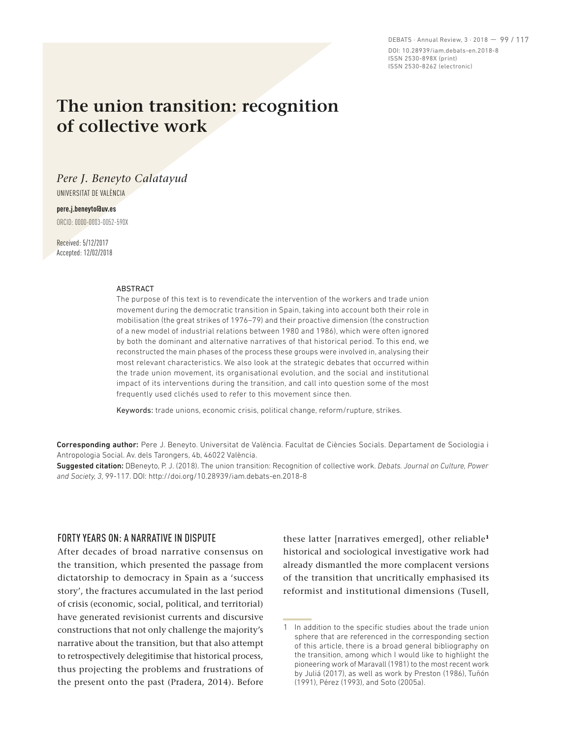DEBATS · Annual Review, 3 · 2018 — 99 / 117 DOI: 10.28939/iam.debats-en.2018-8 ISSN 2530-898X (print) ISSN 2530-8262 (electronic)

# **The union transition: recognition of collective work**

## *Pere J. Beneyto Calatayud*

UNIVERSITAT DE VALÈNCIA

## **pere.j.beneyto@uv.es**

ORCID: 0000-0003-0052-590X

Received: 5/12/2017 Accepted: 12/02/2018

#### ABSTRACT

The purpose of this text is to revendicate the intervention of the workers and trade union movement during the democratic transition in Spain, taking into account both their role in mobilisation (the great strikes of 1976–79) and their proactive dimension (the construction of a new model of industrial relations between 1980 and 1986), which were often ignored by both the dominant and alternative narratives of that historical period. To this end, we reconstructed the main phases of the process these groups were involved in, analysing their most relevant characteristics. We also look at the strategic debates that occurred within the trade union movement, its organisational evolution, and the social and institutional impact of its interventions during the transition, and call into question some of the most frequently used clichés used to refer to this movement since then.

Keywords: trade unions, economic crisis, political change, reform/rupture, strikes.

Corresponding author: Pere J. Beneyto. Universitat de València. Facultat de Ciències Socials. Departament de Sociologia i Antropologia Social. Av. dels Tarongers, 4b, 46022 València.

Suggested citation: DBeneyto, P. J. (2018). The union transition: Recognition of collective work. *Debats. Journal on Culture, Power and Society, 3*, 99-117. DOI: http://doi.org/10.28939/iam.debats-en.2018-8

## FORTY YEARS ON: A NARRATIVE IN DISPUTE

After decades of broad narrative consensus on the transition, which presented the passage from dictatorship to democracy in Spain as a 'success story', the fractures accumulated in the last period of crisis (economic, social, political, and territorial) have generated revisionist currents and discursive constructions that not only challenge the majority's narrative about the transition, but that also attempt to retrospectively delegitimise that historical process, thus projecting the problems and frustrations of the present onto the past (Pradera, 2014). Before these latter [narratives emerged], other reliable**<sup>1</sup>** historical and sociological investigative work had already dismantled the more complacent versions of the transition that uncritically emphasised its reformist and institutional dimensions (Tusell,

<sup>1</sup> In addition to the specific studies about the trade union sphere that are referenced in the corresponding section of this article, there is a broad general bibliography on the transition, among which I would like to highlight the pioneering work of Maravall (1981) to the most recent work by Juliá (2017), as well as work by Preston (1986), Tuñón (1991), Pérez (1993), and Soto (2005a).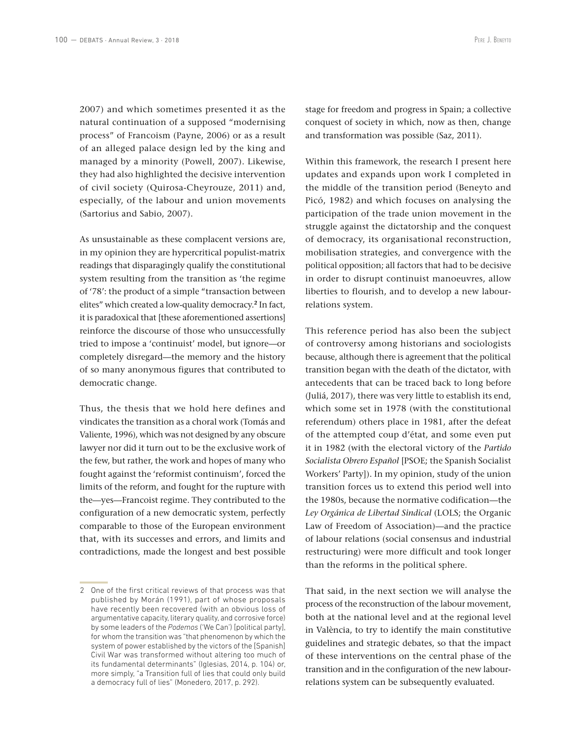2007) and which sometimes presented it as the natural continuation of a supposed "modernising process" of Francoism (Payne, 2006) or as a result of an alleged palace design led by the king and managed by a minority (Powell, 2007). Likewise, they had also highlighted the decisive intervention of civil society (Quirosa-Cheyrouze, 2011) and, especially, of the labour and union movements (Sartorius and Sabio, 2007).

As unsustainable as these complacent versions are, in my opinion they are hypercritical populist-matrix readings that disparagingly qualify the constitutional system resulting from the transition as 'the regime of '78': the product of a simple "transaction between elites" which created a low-quality democracy.**<sup>2</sup>** In fact, it is paradoxical that [these aforementioned assertions] reinforce the discourse of those who unsuccessfully tried to impose a 'continuist' model, but ignore—or completely disregard—the memory and the history of so many anonymous figures that contributed to democratic change.

Thus, the thesis that we hold here defines and vindicates the transition as a choral work (Tomás and Valiente, 1996), which was not designed by any obscure lawyer nor did it turn out to be the exclusive work of the few, but rather, the work and hopes of many who fought against the 'reformist continuism', forced the limits of the reform, and fought for the rupture with the—yes—Francoist regime. They contributed to the configuration of a new democratic system, perfectly comparable to those of the European environment that, with its successes and errors, and limits and contradictions, made the longest and best possible

stage for freedom and progress in Spain; a collective conquest of society in which, now as then, change and transformation was possible (Saz, 2011).

Within this framework, the research I present here updates and expands upon work I completed in the middle of the transition period (Beneyto and Picó, 1982) and which focuses on analysing the participation of the trade union movement in the struggle against the dictatorship and the conquest of democracy, its organisational reconstruction, mobilisation strategies, and convergence with the political opposition; all factors that had to be decisive in order to disrupt continuist manoeuvres, allow liberties to flourish, and to develop a new labourrelations system.

This reference period has also been the subject of controversy among historians and sociologists because, although there is agreement that the political transition began with the death of the dictator, with antecedents that can be traced back to long before (Juliá, 2017), there was very little to establish its end, which some set in 1978 (with the constitutional referendum) others place in 1981, after the defeat of the attempted coup d'état, and some even put it in 1982 (with the electoral victory of the *Partido Socialista Obrero Español* [PSOE; the Spanish Socialist Workers' Party]). In my opinion, study of the union transition forces us to extend this period well into the 1980s, because the normative codification—the *Ley Orgánica de Libertad Sindical* (LOLS; the Organic Law of Freedom of Association)—and the practice of labour relations (social consensus and industrial restructuring) were more difficult and took longer than the reforms in the political sphere.

That said, in the next section we will analyse the process of the reconstruction of the labour movement, both at the national level and at the regional level in València, to try to identify the main constitutive guidelines and strategic debates, so that the impact of these interventions on the central phase of the transition and in the configuration of the new labourrelations system can be subsequently evaluated.

<sup>2</sup> One of the first critical reviews of that process was that published by Morán (1991), part of whose proposals have recently been recovered (with an obvious loss of argumentative capacity, literary quality, and corrosive force) by some leaders of the *Podemos* ('We Can') [political party], for whom the transition was "that phenomenon by which the system of power established by the victors of the [Spanish] Civil War was transformed without altering too much of its fundamental determinants" (Iglesias, 2014, p. 104) or, more simply, "a Transition full of lies that could only build a democracy full of lies" (Monedero, 2017, p. 292).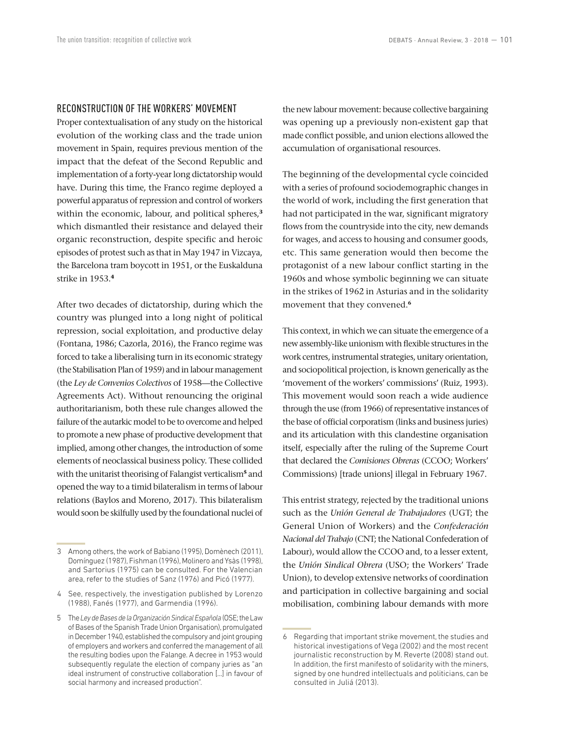#### RECONSTRUCTION OF THE WORKERS' MOVEMENT

Proper contextualisation of any study on the historical evolution of the working class and the trade union movement in Spain, requires previous mention of the impact that the defeat of the Second Republic and implementation of a forty-year long dictatorship would have. During this time, the Franco regime deployed a powerful apparatus of repression and control of workers within the economic, labour, and political spheres,**<sup>3</sup>** which dismantled their resistance and delayed their organic reconstruction, despite specific and heroic episodes of protest such as that in May 1947 in Vizcaya, the Barcelona tram boycott in 1951, or the Euskalduna strike in 1953.**<sup>4</sup>**

After two decades of dictatorship, during which the country was plunged into a long night of political repression, social exploitation, and productive delay (Fontana, 1986; Cazorla, 2016), the Franco regime was forced to take a liberalising turn in its economic strategy (the Stabilisation Plan of 1959) and in labour management (the *Ley de Convenios Colectivos* of 1958—the Collective Agreements Act). Without renouncing the original authoritarianism, both these rule changes allowed the failure of the autarkic model to be to overcome and helped to promote a new phase of productive development that implied, among other changes, the introduction of some elements of neoclassical business policy. These collided with the unitarist theorising of Falangist verticalism**<sup>5</sup>** and opened the way to a timid bilateralism in terms of labour relations (Baylos and Moreno, 2017). This bilateralism would soon be skilfully used by the foundational nuclei of the new labour movement: because collective bargaining was opening up a previously non-existent gap that made conflict possible, and union elections allowed the accumulation of organisational resources.

The beginning of the developmental cycle coincided with a series of profound sociodemographic changes in the world of work, including the first generation that had not participated in the war, significant migratory flows from the countryside into the city, new demands for wages, and access to housing and consumer goods, etc. This same generation would then become the protagonist of a new labour conflict starting in the 1960s and whose symbolic beginning we can situate in the strikes of 1962 in Asturias and in the solidarity movement that they convened.**<sup>6</sup>**

This context, in which we can situate the emergence of a new assembly-like unionism with flexible structures in the work centres, instrumental strategies, unitary orientation, and sociopolitical projection, is known generically as the 'movement of the workers' commissions' (Ruiz, 1993). This movement would soon reach a wide audience through the use (from 1966) of representative instances of the base of official corporatism (links and business juries) and its articulation with this clandestine organisation itself, especially after the ruling of the Supreme Court that declared the *Comisiones Obreras* (CCOO; Workers' Commissions) [trade unions] illegal in February 1967.

This entrist strategy, rejected by the traditional unions such as the *Unión General de Trabajadores* (UGT; the General Union of Workers) and the *Confederación Nacional del Trabajo* (CNT; the National Confederation of Labour), would allow the CCOO and, to a lesser extent, the *Unión Sindical Obrera* (USO; the Workers' Trade Union), to develop extensive networks of coordination and participation in collective bargaining and social mobilisation, combining labour demands with more

<sup>3</sup> Among others, the work of Babiano (1995), Domènech (2011), Domínguez (1987), Fishman (1996), Molinero and Ysàs (1998), and Sartorius (1975) can be consulted. For the Valencian area, refer to the studies of Sanz (1976) and Picó (1977).

<sup>4</sup> See, respectively, the investigation published by Lorenzo (1988), Fanés (1977), and Garmendia (1996).

<sup>5</sup> The *Ley de Bases de la Organización Sindical Española* (OSE; the Law of Bases of the Spanish Trade Union Organisation), promulgated in December 1940, established the compulsory and joint grouping of employers and workers and conferred the management of all the resulting bodies upon the Falange. A decree in 1953 would subsequently regulate the election of company juries as "an ideal instrument of constructive collaboration [...] in favour of social harmony and increased production".

<sup>6</sup> Regarding that important strike movement, the studies and historical investigations of Vega (2002) and the most recent journalistic reconstruction by M. Reverte (2008) stand out. In addition, the first manifesto of solidarity with the miners, signed by one hundred intellectuals and politicians, can be consulted in Juliá (2013).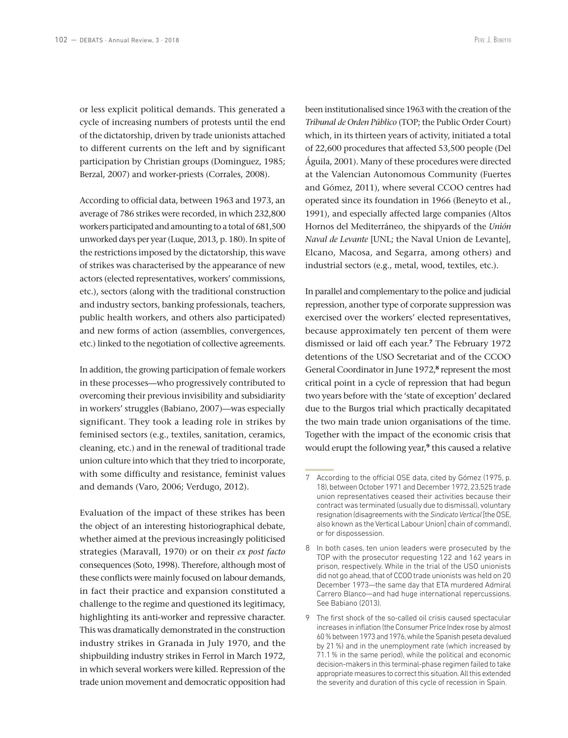or less explicit political demands. This generated a cycle of increasing numbers of protests until the end of the dictatorship, driven by trade unionists attached to different currents on the left and by significant participation by Christian groups (Dominguez, 1985; Berzal, 2007) and worker-priests (Corrales, 2008).

According to official data, between 1963 and 1973, an average of 786 strikes were recorded, in which 232,800 workers participated and amounting to a total of 681,500 unworked days per year (Luque, 2013, p. 180). In spite of the restrictions imposed by the dictatorship, this wave of strikes was characterised by the appearance of new actors (elected representatives, workers' commissions, etc.), sectors (along with the traditional construction and industry sectors, banking professionals, teachers, public health workers, and others also participated) and new forms of action (assemblies, convergences, etc.) linked to the negotiation of collective agreements.

In addition, the growing participation of female workers in these processes—who progressively contributed to overcoming their previous invisibility and subsidiarity in workers' struggles (Babiano, 2007)—was especially significant. They took a leading role in strikes by feminised sectors (e.g., textiles, sanitation, ceramics, cleaning, etc.) and in the renewal of traditional trade union culture into which that they tried to incorporate, with some difficulty and resistance, feminist values and demands (Varo, 2006; Verdugo, 2012).

Evaluation of the impact of these strikes has been the object of an interesting historiographical debate, whether aimed at the previous increasingly politicised strategies (Maravall, 1970) or on their *ex post facto*  consequences (Soto, 1998). Therefore, although most of these conflicts were mainly focused on labour demands, in fact their practice and expansion constituted a challenge to the regime and questioned its legitimacy, highlighting its anti-worker and repressive character. This was dramatically demonstrated in the construction industry strikes in Granada in July 1970, and the shipbuilding industry strikes in Ferrol in March 1972, in which several workers were killed. Repression of the trade union movement and democratic opposition had

been institutionalised since 1963 with the creation of the *Tribunal de Orden Público* (TOP; the Public Order Court) which, in its thirteen years of activity, initiated a total of 22,600 procedures that affected 53,500 people (Del Águila, 2001). Many of these procedures were directed at the Valencian Autonomous Community (Fuertes and Gómez, 2011), where several CCOO centres had operated since its foundation in 1966 (Beneyto et al., 1991), and especially affected large companies (Altos Hornos del Mediterráneo, the shipyards of the *Unión Naval de Levante* [UNL; the Naval Union de Levante], Elcano, Macosa, and Segarra, among others) and industrial sectors (e.g., metal, wood, textiles, etc.).

In parallel and complementary to the police and judicial repression, another type of corporate suppression was exercised over the workers' elected representatives, because approximately ten percent of them were dismissed or laid off each year.**<sup>7</sup>** The February 1972 detentions of the USO Secretariat and of the CCOO General Coordinator in June 1972,**<sup>8</sup>** represent the most critical point in a cycle of repression that had begun two years before with the 'state of exception' declared due to the Burgos trial which practically decapitated the two main trade union organisations of the time. Together with the impact of the economic crisis that would erupt the following year,**<sup>9</sup>** this caused a relative

<sup>7</sup> According to the official OSE data, cited by Gómez (1975, p. 18), between October 1971 and December 1972, 23,525 trade union representatives ceased their activities because their contract was terminated (usually due to dismissal), voluntary resignation (disagreements with the *Sindicato Vertical* [the OSE, also known as the Vertical Labour Union] chain of command), or for dispossession.

<sup>8</sup> In both cases, ten union leaders were prosecuted by the TOP with the prosecutor requesting 122 and 162 years in prison, respectively. While in the trial of the USO unionists did not go ahead, that of CCOO trade unionists was held on 20 December 1973—the same day that ETA murdered Admiral Carrero Blanco—and had huge international repercussions. See Babiano (2013).

<sup>9</sup> The first shock of the so-called oil crisis caused spectacular increases in inflation (the Consumer Price Index rose by almost 60% between 1973 and 1976, while the Spanish peseta devalued by 21%) and in the unemployment rate (which increased by 71.1% in the same period), while the political and economic decision-makers in this terminal-phase regimen failed to take appropriate measures to correct this situation. All this extended the severity and duration of this cycle of recession in Spain.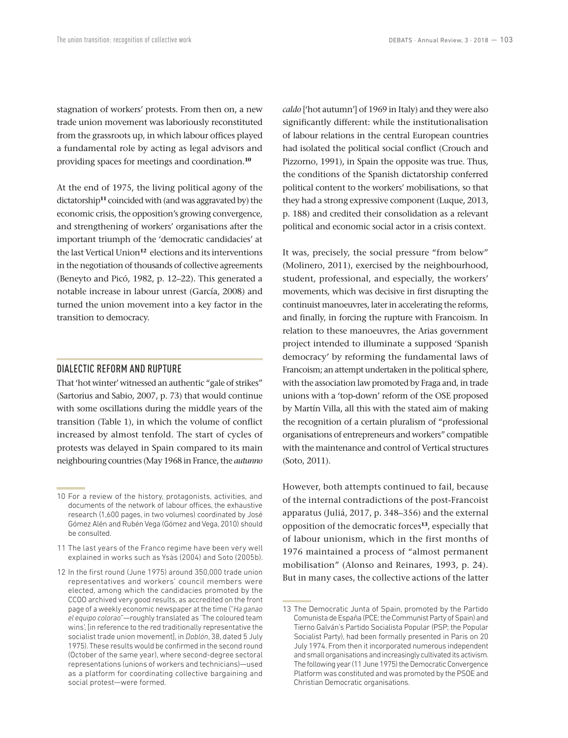stagnation of workers' protests. From then on, a new trade union movement was laboriously reconstituted from the grassroots up, in which labour offices played a fundamental role by acting as legal advisors and providing spaces for meetings and coordination.**<sup>10</sup>**

At the end of 1975, the living political agony of the dictatorship**<sup>11</sup>** coincided with (and was aggravated by) the economic crisis, the opposition's growing convergence, and strengthening of workers' organisations after the important triumph of the 'democratic candidacies' at the last Vertical Union**<sup>12</sup>** elections and its interventions in the negotiation of thousands of collective agreements (Beneyto and Picó, 1982, p. 12–22). This generated a notable increase in labour unrest (García, 2008) and turned the union movement into a key factor in the transition to democracy.

## DIALECTIC REFORM AND RUPTURE

That 'hot winter' witnessed an authentic "gale of strikes" (Sartorius and Sabio, 2007, p. 73) that would continue with some oscillations during the middle years of the transition (Table 1), in which the volume of conflict increased by almost tenfold. The start of cycles of protests was delayed in Spain compared to its main neighbouring countries (May 1968 in France, the *autunno*  *caldo* ['hot autumn'] of 1969 in Italy) and they were also significantly different: while the institutionalisation of labour relations in the central European countries had isolated the political social conflict (Crouch and Pizzorno, 1991), in Spain the opposite was true. Thus, the conditions of the Spanish dictatorship conferred political content to the workers' mobilisations, so that they had a strong expressive component (Luque, 2013, p. 188) and credited their consolidation as a relevant political and economic social actor in a crisis context.

It was, precisely, the social pressure "from below" (Molinero, 2011), exercised by the neighbourhood, student, professional, and especially, the workers' movements, which was decisive in first disrupting the continuist manoeuvres, later in accelerating the reforms, and finally, in forcing the rupture with Francoism. In relation to these manoeuvres, the Arias government project intended to illuminate a supposed 'Spanish democracy' by reforming the fundamental laws of Francoism; an attempt undertaken in the political sphere, with the association law promoted by Fraga and, in trade unions with a 'top-down' reform of the OSE proposed by Martín Villa, all this with the stated aim of making the recognition of a certain pluralism of "professional organisations of entrepreneurs and workers" compatible with the maintenance and control of Vertical structures (Soto, 2011).

However, both attempts continued to fail, because of the internal contradictions of the post-Francoist apparatus (Juliá, 2017, p. 348–356) and the external opposition of the democratic forces**<sup>13</sup>**, especially that of labour unionism, which in the first months of 1976 maintained a process of "almost permanent mobilisation" (Alonso and Reinares, 1993, p. 24). But in many cases, the collective actions of the latter

<sup>10</sup> For a review of the history, protagonists, activities, and documents of the network of labour offices, the exhaustive research (1,600 pages, in two volumes) coordinated by José Gómez Alén and Rubén Vega (Gómez and Vega, 2010) should be consulted.

<sup>11</sup> The last years of the Franco regime have been very well explained in works such as Ysàs (2004) and Soto (2005b).

<sup>12</sup> In the first round (June 1975) around 350,000 trade union representatives and workers' council members were elected, among which the candidacies promoted by the CCOO archived very good results, as accredited on the front page of a weekly economic newspaper at the time ("*Ha ganao el equipo colorao*"—roughly translated as 'The coloured team wins', [in reference to the red traditionally representative the socialist trade union movement], in *Doblón*, 38, dated 5 July 1975). These results would be confirmed in the second round (October of the same year), where second-degree sectoral representations (unions of workers and technicians)—used as a platform for coordinating collective bargaining and social protest—were formed.

<sup>13</sup> The Democratic Junta of Spain, promoted by the Partido Comunista de España (PCE; the Communist Party of Spain) and Tierno Galván's Partido Socialista Popular (PSP; the Popular Socialist Party), had been formally presented in Paris on 20 July 1974. From then it incorporated numerous independent and small organisations and increasingly cultivated its activism. The following year (11 June 1975) the Democratic Convergence Platform was constituted and was promoted by the PSOE and Christian Democratic organisations.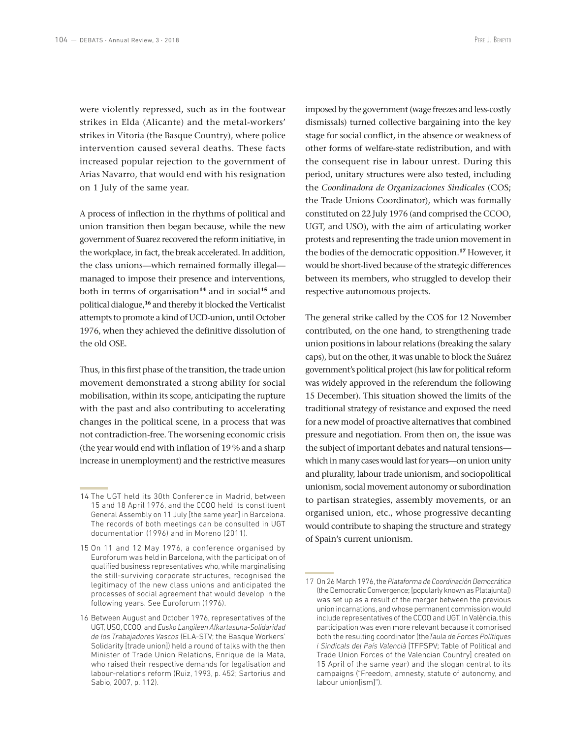were violently repressed, such as in the footwear strikes in Elda (Alicante) and the metal-workers' strikes in Vitoria (the Basque Country), where police intervention caused several deaths. These facts increased popular rejection to the government of Arias Navarro, that would end with his resignation on 1 July of the same year.

A process of inflection in the rhythms of political and union transition then began because, while the new government of Suarez recovered the reform initiative, in the workplace, in fact, the break accelerated. In addition, the class unions—which remained formally illegal managed to impose their presence and interventions, both in terms of organisation**<sup>14</sup>** and in social**<sup>15</sup>** and political dialogue,**<sup>16</sup>** and thereby it blocked the Verticalist attempts to promote a kind of UCD-union, until October 1976, when they achieved the definitive dissolution of the old OSE.

Thus, in this first phase of the transition, the trade union movement demonstrated a strong ability for social mobilisation, within its scope, anticipating the rupture with the past and also contributing to accelerating changes in the political scene, in a process that was not contradiction-free. The worsening economic crisis (the year would end with inflation of 19% and a sharp increase in unemployment) and the restrictive measures

imposed by the government (wage freezes and less-costly dismissals) turned collective bargaining into the key stage for social conflict, in the absence or weakness of other forms of welfare-state redistribution, and with the consequent rise in labour unrest. During this period, unitary structures were also tested, including the *Coordinadora de Organizaciones Sindicales* (COS; the Trade Unions Coordinator), which was formally constituted on 22 July 1976 (and comprised the CCOO, UGT, and USO), with the aim of articulating worker protests and representing the trade union movement in the bodies of the democratic opposition.**<sup>17</sup>** However, it would be short-lived because of the strategic differences between its members, who struggled to develop their respective autonomous projects.

The general strike called by the COS for 12 November contributed, on the one hand, to strengthening trade union positions in labour relations (breaking the salary caps), but on the other, it was unable to block the Suárez government's political project (his law for political reform was widely approved in the referendum the following 15 December). This situation showed the limits of the traditional strategy of resistance and exposed the need for a new model of proactive alternatives that combined pressure and negotiation. From then on, the issue was the subject of important debates and natural tensions which in many cases would last for years—on union unity and plurality, labour trade unionism, and sociopolitical unionism, social movement autonomy or subordination to partisan strategies, assembly movements, or an organised union, etc., whose progressive decanting would contribute to shaping the structure and strategy of Spain's current unionism.

<sup>14</sup> The UGT held its 30th Conference in Madrid, between 15 and 18 April 1976, and the CCOO held its constituent General Assembly on 11 July [the same year] in Barcelona. The records of both meetings can be consulted in UGT documentation (1996) and in Moreno (2011).

<sup>15</sup> On 11 and 12 May 1976, a conference organised by Euroforum was held in Barcelona, with the participation of qualified business representatives who, while marginalising the still-surviving corporate structures, recognised the legitimacy of the new class unions and anticipated the processes of social agreement that would develop in the following years. See Euroforum (1976).

<sup>16</sup> Between August and October 1976, representatives of the UGT, USO, CCOO, and *Eusko Langileen Alkartasuna-Solidaridad de los Trabajadores Vascos* (ELA-STV; the Basque Workers' Solidarity [trade union]) held a round of talks with the then Minister of Trade Union Relations, Enrique de la Mata, who raised their respective demands for legalisation and labour-relations reform (Ruiz, 1993, p. 452; Sartorius and Sabio, 2007, p. 112).

<sup>17</sup> On 26 March 1976, the *Plataforma de Coordinación Democrática* (the Democratic Convergence; [popularly known as Platajunta]) was set up as a result of the merger between the previous union incarnations, and whose permanent commission would include representatives of the CCOO and UGT. In València, this participation was even more relevant because it comprised both the resulting coordinator (the*Taula de Forces Polítiques i Sindicals del País Valencià* [TFPSPV; Table of Political and Trade Union Forces of the Valencian Country] created on 15 April of the same year) and the slogan central to its campaigns ("Freedom, amnesty, statute of autonomy, and labour union[ism]").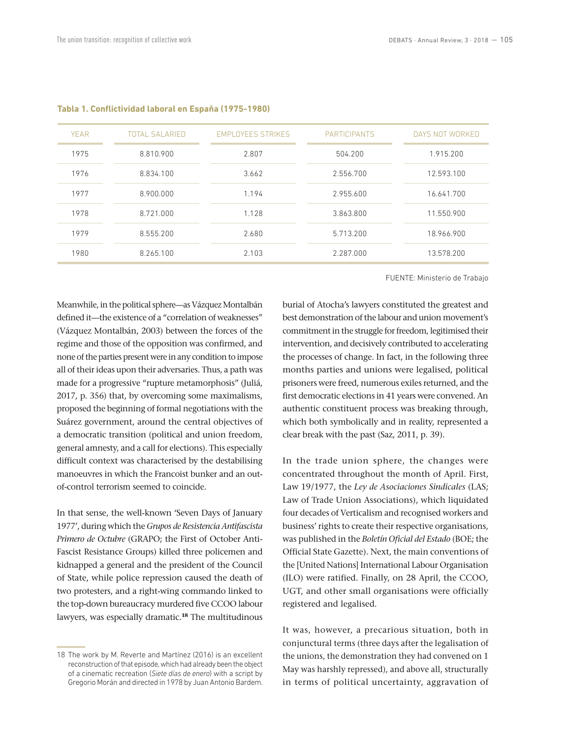FUENTE: Ministerio de Trabajo

| <b>YEAR</b> | <b>TOTAL SALARIED</b> | <b>EMPLOYEES STRIKES</b> | <b>PARTICIPANTS</b> | DAYS NOT WORKED |
|-------------|-----------------------|--------------------------|---------------------|-----------------|
| 1975        | 8.810.900             | 2.807                    | 504.200             | 1.915.200       |
| 1976        | 8.834.100             | 3.662                    | 2.556.700           | 12.593.100      |
| 1977        | 8.900.000             | 1.194                    | 2.955.600           | 16.641.700      |
| 1978        | 8.721.000             | 1.128                    | 3.863.800           | 11.550.900      |
| 1979        | 8.555.200             | 2.680                    | 5.713.200           | 18.966.900      |
| 1980        | 8.265.100             | 2.103                    | 2.287.000           | 13.578.200      |

#### **Tabla 1. Conflictividad laboral en España (1975-1980)**

Meanwhile, in the political sphere—as Vázquez Montalbán defined it—the existence of a "correlation of weaknesses" (Vázquez Montalbán, 2003) between the forces of the regime and those of the opposition was confirmed, and none of the parties present were in any condition to impose all of their ideas upon their adversaries. Thus, a path was made for a progressive "rupture metamorphosis" (Juliá, 2017, p. 356) that, by overcoming some maximalisms, proposed the beginning of formal negotiations with the Suárez government, around the central objectives of a democratic transition (political and union freedom, general amnesty, and a call for elections). This especially difficult context was characterised by the destabilising manoeuvres in which the Francoist bunker and an outof-control terrorism seemed to coincide.

In that sense, the well-known 'Seven Days of January 1977', during which the *Grupos de Resistencia Antifascista Primero de Octubre* (GRAPO; the First of October Anti-Fascist Resistance Groups) killed three policemen and kidnapped a general and the president of the Council of State, while police repression caused the death of two protesters, and a right-wing commando linked to the top-down bureaucracy murdered five CCOO labour lawyers, was especially dramatic.**<sup>18</sup>** The multitudinous burial of Atocha's lawyers constituted the greatest and best demonstration of the labour and union movement's commitment in the struggle for freedom, legitimised their intervention, and decisively contributed to accelerating the processes of change. In fact, in the following three months parties and unions were legalised, political prisoners were freed, numerous exiles returned, and the first democratic elections in 41 years were convened. An authentic constituent process was breaking through, which both symbolically and in reality, represented a clear break with the past (Saz, 2011, p. 39).

In the trade union sphere, the changes were concentrated throughout the month of April. First, Law 19/1977, the *Ley de Asociaciones Sindicales* (LAS; Law of Trade Union Associations), which liquidated four decades of Verticalism and recognised workers and business' rights to create their respective organisations, was published in the *Boletín Oficial del Estado* (BOE; the Official State Gazette). Next, the main conventions of the [United Nations] International Labour Organisation (ILO) were ratified. Finally, on 28 April, the CCOO, UGT, and other small organisations were officially registered and legalised.

It was, however, a precarious situation, both in conjunctural terms (three days after the legalisation of the unions, the demonstration they had convened on 1 May was harshly repressed), and above all, structurally in terms of political uncertainty, aggravation of

<sup>18</sup> The work by M. Reverte and Martínez (2016) is an excellent reconstruction of that episode, which had already been the object of a cinematic recreation (*Siete días de enero*) with a script by Gregorio Morán and directed in 1978 by Juan Antonio Bardem.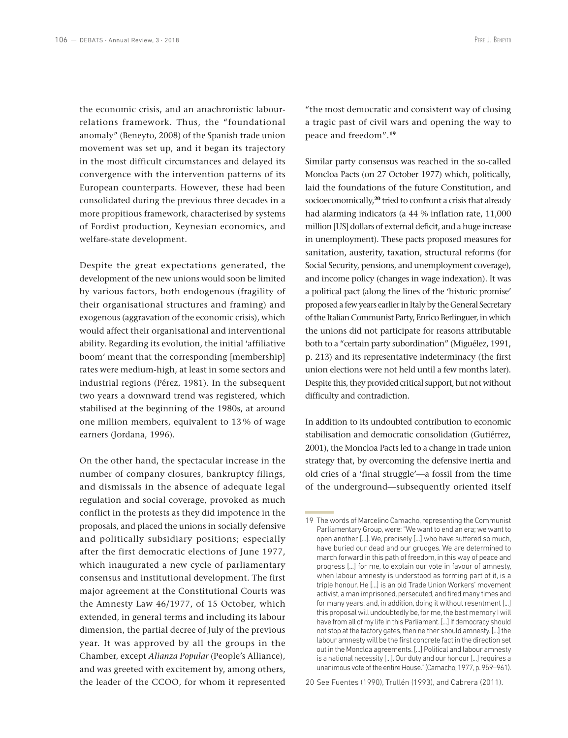the economic crisis, and an anachronistic labourrelations framework. Thus, the "foundational anomaly" (Beneyto, 2008) of the Spanish trade union movement was set up, and it began its trajectory in the most difficult circumstances and delayed its convergence with the intervention patterns of its European counterparts. However, these had been consolidated during the previous three decades in a more propitious framework, characterised by systems of Fordist production, Keynesian economics, and welfare-state development.

Despite the great expectations generated, the development of the new unions would soon be limited by various factors, both endogenous (fragility of their organisational structures and framing) and exogenous (aggravation of the economic crisis), which would affect their organisational and interventional ability. Regarding its evolution, the initial 'affiliative boom' meant that the corresponding [membership] rates were medium-high, at least in some sectors and industrial regions (Pérez, 1981). In the subsequent two years a downward trend was registered, which stabilised at the beginning of the 1980s, at around one million members, equivalent to 13 % of wage earners (Jordana, 1996).

On the other hand, the spectacular increase in the number of company closures, bankruptcy filings, and dismissals in the absence of adequate legal regulation and social coverage, provoked as much conflict in the protests as they did impotence in the proposals, and placed the unions in socially defensive and politically subsidiary positions; especially after the first democratic elections of June 1977, which inaugurated a new cycle of parliamentary consensus and institutional development. The first major agreement at the Constitutional Courts was the Amnesty Law 46/1977, of 15 October, which extended, in general terms and including its labour dimension, the partial decree of July of the previous year. It was approved by all the groups in the Chamber, except *Alianza Popular* (People's Alliance), and was greeted with excitement by, among others, the leader of the CCOO, for whom it represented "the most democratic and consistent way of closing a tragic past of civil wars and opening the way to peace and freedom".**<sup>19</sup>**

Similar party consensus was reached in the so-called Moncloa Pacts (on 27 October 1977) which, politically, laid the foundations of the future Constitution, and socioeconomically,**<sup>20</sup>** tried to confront a crisis that already had alarming indicators (a 44 % inflation rate, 11,000 million [US] dollars of external deficit, and a huge increase in unemployment). These pacts proposed measures for sanitation, austerity, taxation, structural reforms (for Social Security, pensions, and unemployment coverage), and income policy (changes in wage indexation). It was a political pact (along the lines of the 'historic promise' proposed a few years earlier in Italy by the General Secretary of the Italian Communist Party, Enrico Berlinguer, in which the unions did not participate for reasons attributable both to a "certain party subordination" (Miguélez, 1991, p. 213) and its representative indeterminacy (the first union elections were not held until a few months later). Despite this, they provided critical support, but not without difficulty and contradiction.

In addition to its undoubted contribution to economic stabilisation and democratic consolidation (Gutiérrez, 2001), the Moncloa Pacts led to a change in trade union strategy that, by overcoming the defensive inertia and old cries of a 'final struggle'—a fossil from the time of the underground—subsequently oriented itself

20 See Fuentes (1990), Trullén (1993), and Cabrera (2011).

<sup>19</sup> The words of Marcelino Camacho, representing the Communist Parliamentary Group, were: "We want to end an era; we want to open another [...]. We, precisely [...] who have suffered so much, have buried our dead and our grudges. We are determined to march forward in this path of freedom, in this way of peace and progress [...] for me, to explain our vote in favour of amnesty, when labour amnesty is understood as forming part of it, is a triple honour. He [...] is an old Trade Union Workers' movement activist, a man imprisoned, persecuted, and fired many times and for many years, and, in addition, doing it without resentment [...] this proposal will undoubtedly be, for me, the best memory I will have from all of my life in this Parliament. [...] If democracy should not stop at the factory gates, then neither should amnesty. [...] the labour amnesty will be the first concrete fact in the direction set out in the Moncloa agreements. [...] Political and labour amnesty is a national necessity [...]. Our duty and our honour [...] requires a unanimous vote of the entire House." (Camacho, 1977, p. 959–961).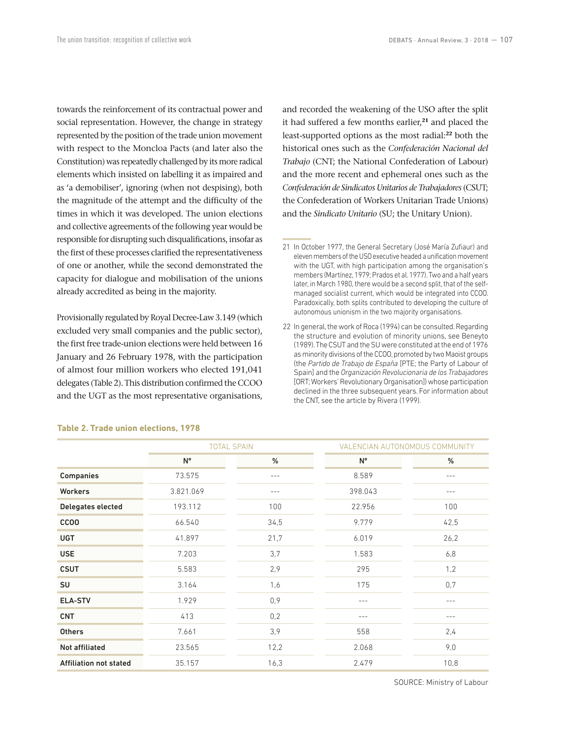towards the reinforcement of its contractual power and social representation. However, the change in strategy represented by the position of the trade union movement with respect to the Moncloa Pacts (and later also the Constitution) was repeatedly challenged by its more radical elements which insisted on labelling it as impaired and as 'a demobiliser', ignoring (when not despising), both the magnitude of the attempt and the difficulty of the times in which it was developed. The union elections and collective agreements of the following year would be responsible for disrupting such disqualifications, insofar as the first of these processes clarified the representativeness of one or another, while the second demonstrated the capacity for dialogue and mobilisation of the unions already accredited as being in the majority.

Provisionally regulated by Royal Decree-Law 3.149 (which excluded very small companies and the public sector), the first free trade-union elections were held between 16 January and 26 February 1978, with the participation of almost four million workers who elected 191,041 delegates (Table 2). This distribution confirmed the CCOO and the UGT as the most representative organisations,

and recorded the weakening of the USO after the split it had suffered a few months earlier,**<sup>21</sup>** and placed the least-supported options as the most radial:**<sup>22</sup>** both the historical ones such as the *Confederación Nacional del Trabajo* (CNT; the National Confederation of Labour) and the more recent and ephemeral ones such as the *Confederación de Sindicatos Unitarios de Trabajadores* (CSUT; the Confederation of Workers Unitarian Trade Unions) and the *Sindicato Unitario* (SU; the Unitary Union).

|                               | <b>TOTAL SPAIN</b> |       | VALENCIAN AUTONOMOUS COMMUNITY |       |
|-------------------------------|--------------------|-------|--------------------------------|-------|
|                               | N°                 | %     | N°                             | %     |
| <b>Companies</b>              | 73.575             | $---$ | 8.589                          | $---$ |
| <b>Workers</b>                | 3.821.069          | $---$ | 398.043                        | ---   |
| Delegates elected             | 193.112            | 100   | 22.956                         | 100   |
| <b>CCOO</b>                   | 66.540             | 34,5  | 9.779                          | 42,5  |
| <b>UGT</b>                    | 41.897             | 21,7  | 6.019                          | 26,2  |
| <b>USE</b>                    | 7.203              | 3,7   | 1.583                          | 6,8   |
| <b>CSUT</b>                   | 5.583              | 2,9   | 295                            | 1,2   |
| SU                            | 3.164              | 1,6   | 175                            | 0,7   |
| <b>ELA-STV</b>                | 1.929              | 0,9   | $---$                          | $---$ |
| <b>CNT</b>                    | 413                | 0,2   |                                | ---   |
| <b>Others</b>                 | 7.661              | 3,9   | 558                            | 2,4   |
| <b>Not affiliated</b>         | 23.565             | 12,2  | 2.068                          | 9,0   |
| <b>Affiliation not stated</b> | 35.157             | 16,3  | 2.479                          | 10,8  |

#### **Table 2. Trade union elections, 1978**

SOURCE: Ministry of Labour

<sup>21</sup> In October 1977, the General Secretary (José María Zufiaur) and eleven members of the USO executive headed a unification movement with the UGT, with high participation among the organisation's members (Martínez, 1979; Prados et al. 1977). Two and a half years later, in March 1980, there would be a second split, that of the selfmanaged socialist current, which would be integrated into CCOO. Paradoxically, both splits contributed to developing the culture of autonomous unionism in the two majority organisations.

<sup>22</sup> In general, the work of Roca (1994) can be consulted. Regarding the structure and evolution of minority unions, see Beneyto (1989). The CSUT and the SU were constituted at the end of 1976 as minority divisions of the CCOO, promoted by two Maoist groups (the *Partido de Trabajo de España* [PTE; the Party of Labour of Spain] and the *Organización Revolucionaria de los Trabajadores* [ORT; Workers' Revolutionary Organisation]) whose participation declined in the three subsequent years. For information about the CNT, see the article by Rivera (1999).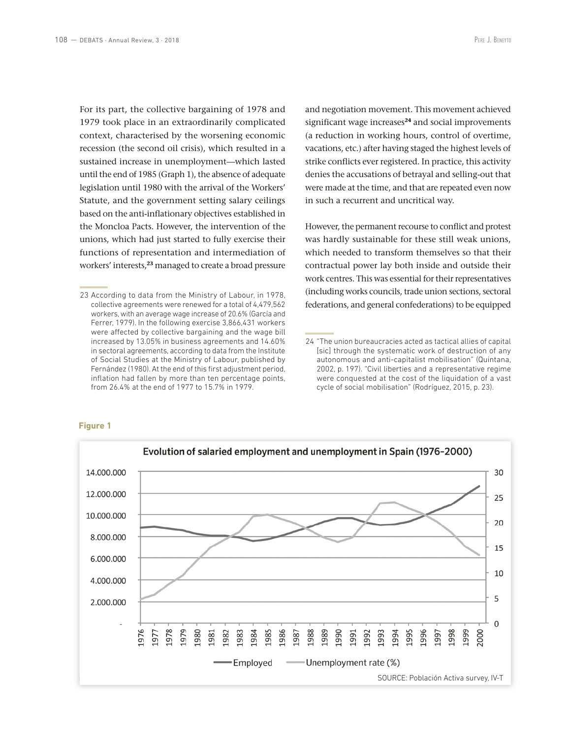For its part, the collective bargaining of 1978 and 1979 took place in an extraordinarily complicated context, characterised by the worsening economic recession (the second oil crisis), which resulted in a sustained increase in unemployment—which lasted until the end of 1985 (Graph 1), the absence of adequate legislation until 1980 with the arrival of the Workers' Statute, and the government setting salary ceilings based on the anti-inflationary objectives established in the Moncloa Pacts. However, the intervention of the unions, which had just started to fully exercise their functions of representation and intermediation of workers' interests,**<sup>23</sup>** managed to create a broad pressure

and negotiation movement. This movement achieved significant wage increases**<sup>24</sup>** and social improvements (a reduction in working hours, control of overtime, vacations, etc.) after having staged the highest levels of strike conflicts ever registered. In practice, this activity denies the accusations of betrayal and selling-out that were made at the time, and that are repeated even now in such a recurrent and uncritical way.

However, the permanent recourse to conflict and protest was hardly sustainable for these still weak unions, which needed to transform themselves so that their contractual power lay both inside and outside their work centres. This was essential for their representatives (including works councils, trade union sections, sectoral federations, and general confederations) to be equipped

#### **Figure 1**



<sup>23</sup> According to data from the Ministry of Labour, in 1978, collective agreements were renewed for a total of 4,479,562 workers, with an average wage increase of 20.6% (García and Ferrer, 1979). In the following exercise 3,866,431 workers were affected by collective bargaining and the wage bill increased by 13.05% in business agreements and 14.60% in sectoral agreements, according to data from the Institute of Social Studies at the Ministry of Labour, published by Fernández (1980). At the end of this first adjustment period, inflation had fallen by more than ten percentage points, from 26.4% at the end of 1977 to 15.7% in 1979.

<sup>24</sup> "The union bureaucracies acted as tactical allies of capital [sic] through the systematic work of destruction of any autonomous and anti-capitalist mobilisation" (Quintana, 2002, p. 197). "Civil liberties and a representative regime were conquested at the cost of the liquidation of a vast cycle of social mobilisation" (Rodríguez, 2015, p. 23).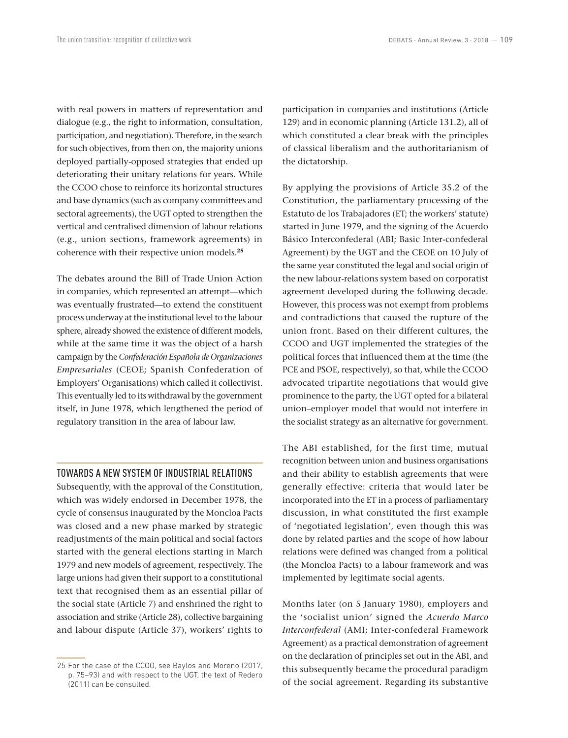with real powers in matters of representation and dialogue (e.g., the right to information, consultation, participation, and negotiation). Therefore, in the search for such objectives, from then on, the majority unions deployed partially-opposed strategies that ended up deteriorating their unitary relations for years. While the CCOO chose to reinforce its horizontal structures and base dynamics (such as company committees and sectoral agreements), the UGT opted to strengthen the vertical and centralised dimension of labour relations (e.g., union sections, framework agreements) in coherence with their respective union models.**<sup>25</sup>**

The debates around the Bill of Trade Union Action in companies, which represented an attempt—which was eventually frustrated—to extend the constituent process underway at the institutional level to the labour sphere, already showed the existence of different models, while at the same time it was the object of a harsh campaign by the *Confederación Española de Organizaciones Empresariales* (CEOE; Spanish Confederation of Employers' Organisations) which called it collectivist. This eventually led to its withdrawal by the government itself, in June 1978, which lengthened the period of regulatory transition in the area of labour law.

#### TOWARDS A NEW SYSTEM OF INDUSTRIAL RELATIONS

Subsequently, with the approval of the Constitution, which was widely endorsed in December 1978, the cycle of consensus inaugurated by the Moncloa Pacts was closed and a new phase marked by strategic readjustments of the main political and social factors started with the general elections starting in March 1979 and new models of agreement, respectively. The large unions had given their support to a constitutional text that recognised them as an essential pillar of the social state (Article 7) and enshrined the right to association and strike (Article 28), collective bargaining and labour dispute (Article 37), workers' rights to participation in companies and institutions (Article 129) and in economic planning (Article 131.2), all of which constituted a clear break with the principles of classical liberalism and the authoritarianism of the dictatorship.

By applying the provisions of Article 35.2 of the Constitution, the parliamentary processing of the Estatuto de los Trabajadores (ET; the workers' statute) started in June 1979, and the signing of the Acuerdo Básico Interconfederal (ABI; Basic Inter-confederal Agreement) by the UGT and the CEOE on 10 July of the same year constituted the legal and social origin of the new labour-relations system based on corporatist agreement developed during the following decade. However, this process was not exempt from problems and contradictions that caused the rupture of the union front. Based on their different cultures, the CCOO and UGT implemented the strategies of the political forces that influenced them at the time (the PCE and PSOE, respectively), so that, while the CCOO advocated tripartite negotiations that would give prominence to the party, the UGT opted for a bilateral union–employer model that would not interfere in the socialist strategy as an alternative for government.

The ABI established, for the first time, mutual recognition between union and business organisations and their ability to establish agreements that were generally effective: criteria that would later be incorporated into the ET in a process of parliamentary discussion, in what constituted the first example of 'negotiated legislation', even though this was done by related parties and the scope of how labour relations were defined was changed from a political (the Moncloa Pacts) to a labour framework and was implemented by legitimate social agents.

Months later (on 5 January 1980), employers and the 'socialist union' signed the *Acuerdo Marco Interconfederal* (AMI; Inter-confederal Framework Agreement) as a practical demonstration of agreement on the declaration of principles set out in the ABI, and this subsequently became the procedural paradigm of the social agreement. Regarding its substantive

<sup>25</sup> For the case of the CCOO, see Baylos and Moreno (2017, p. 75–93) and with respect to the UGT, the text of Redero (2011) can be consulted.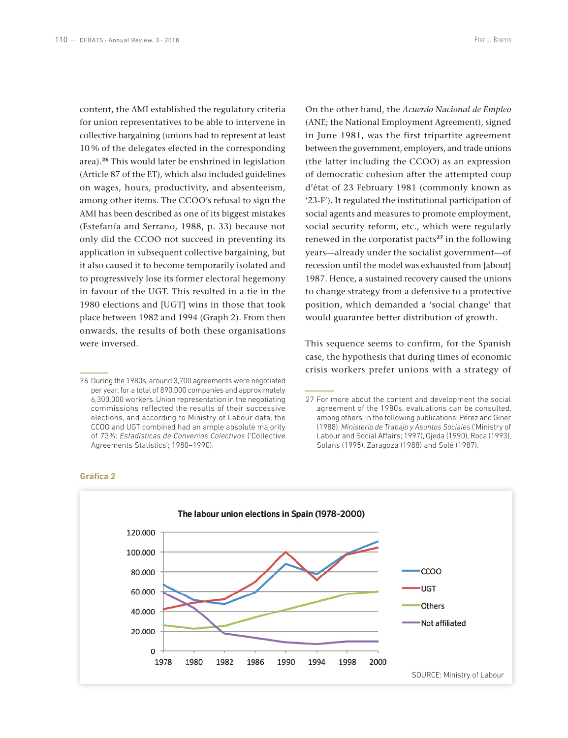content, the AMI established the regulatory criteria for union representatives to be able to intervene in collective bargaining (unions had to represent at least 10 % of the delegates elected in the corresponding area).**<sup>26</sup>** This would later be enshrined in legislation (Article 87 of the ET), which also included guidelines on wages, hours, productivity, and absenteeism, among other items. The CCOO's refusal to sign the AMI has been described as one of its biggest mistakes (Estefanía and Serrano, 1988, p. 33) because not only did the CCOO not succeed in preventing its application in subsequent collective bargaining, but it also caused it to become temporarily isolated and to progressively lose its former electoral hegemony in favour of the UGT. This resulted in a tie in the 1980 elections and [UGT] wins in those that took place between 1982 and 1994 (Graph 2). From then onwards, the results of both these organisations were inversed.

On the other hand, the *Acuerdo Nacional de Empleo*  (ANE; the National Employment Agreement), signed in June 1981, was the first tripartite agreement between the government, employers, and trade unions (the latter including the CCOO) as an expression of democratic cohesion after the attempted coup d'état of 23 February 1981 (commonly known as '23-F'). It regulated the institutional participation of social agents and measures to promote employment, social security reform, etc., which were regularly renewed in the corporatist pacts**<sup>27</sup>** in the following years—already under the socialist government—of recession until the model was exhausted from [about] 1987. Hence, a sustained recovery caused the unions to change strategy from a defensive to a protective position, which demanded a 'social change' that would guarantee better distribution of growth.

This sequence seems to confirm, for the Spanish case, the hypothesis that during times of economic crisis workers prefer unions with a strategy of

<sup>27</sup> For more about the content and development the social agreement of the 1980s, evaluations can be consulted, among others, in the following publications: Pérez and Giner (1988), *Ministerio de Trabajo y Asuntos Sociales* ('Ministry of Labour and Social Affairs; 1997), Ojeda (1990), Roca (1993), Solans (1995), Zaragoza (1988) and Solé (1987).



#### **Gráfica 2**

<sup>26</sup> During the 1980s, around 3,700 agreements were negotiated per year, for a total of 890,000 companies and approximately 6,300,000 workers. Union representation in the negotiating commissions reflected the results of their successive elections, and according to Ministry of Labour data, the CCOO and UGT combined had an ample absolute majority of 73%: *Estadísticas de Convenios Colectivos* ('Collective Agreements Statistics'; 1980–1990).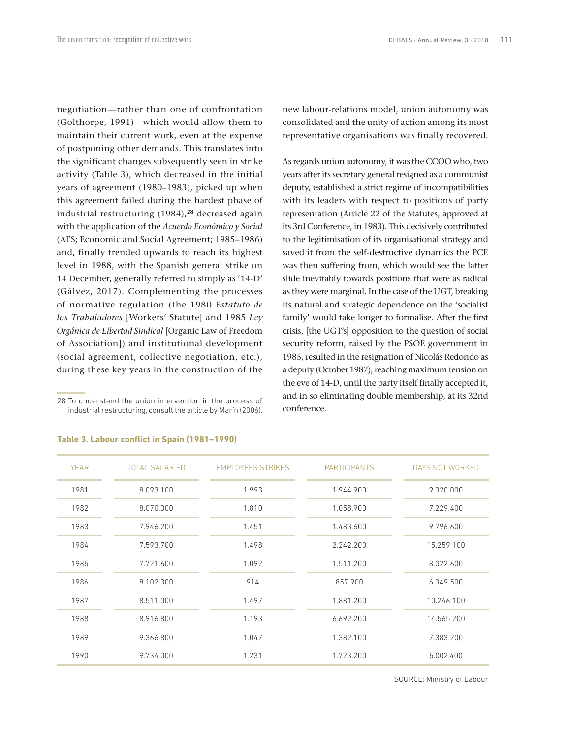negotiation—rather than one of confrontation (Golthorpe, 1991)—which would allow them to maintain their current work, even at the expense of postponing other demands. This translates into the significant changes subsequently seen in strike activity (Table 3), which decreased in the initial years of agreement (1980–1983), picked up when this agreement failed during the hardest phase of industrial restructuring (1984),**<sup>28</sup>** decreased again with the application of the *Acuerdo Económico y Social* (AES; Economic and Social Agreement; 1985–1986) and, finally trended upwards to reach its highest level in 1988, with the Spanish general strike on 14 December, generally referred to simply as '14-D' (Gálvez, 2017). Complementing the processes of normative regulation (the 1980 E*statuto de los Trabajadores* [Workers' Statute] and 1985 *Ley Orgánica de Libertad Sindical* [Organic Law of Freedom of Association]) and institutional development (social agreement, collective negotiation, etc.), during these key years in the construction of the

28 To understand the union intervention in the process of industrial restructuring, consult the article by Marín (2006). new labour-relations model, union autonomy was consolidated and the unity of action among its most representative organisations was finally recovered.

As regards union autonomy, it was the CCOO who, two years after its secretary general resigned as a communist deputy, established a strict regime of incompatibilities with its leaders with respect to positions of party representation (Article 22 of the Statutes, approved at its 3rd Conference, in 1983). This decisively contributed to the legitimisation of its organisational strategy and saved it from the self-destructive dynamics the PCE was then suffering from, which would see the latter slide inevitably towards positions that were as radical as they were marginal. In the case of the UGT, breaking its natural and strategic dependence on the 'socialist family' would take longer to formalise. After the first crisis, [the UGT's] opposition to the question of social security reform, raised by the PSOE government in 1985, resulted in the resignation of Nicolás Redondo as a deputy (October 1987), reaching maximum tension on the eve of 14-D, until the party itself finally accepted it, and in so eliminating double membership, at its 32nd conference.

| <b>YEAR</b> | <b>TOTAL SALARIED</b> | <b>EMPLOYEES STRIKES</b> | <b>PARTICIPANTS</b> | DAYS NOT WORKED |
|-------------|-----------------------|--------------------------|---------------------|-----------------|
| 1981        | 8.093.100             | 1.993                    | 1.944.900           | 9.320.000       |
| 1982        | 8.070.000             | 1.810                    | 1.058.900           | 7.229.400       |
| 1983        | 7.946.200             | 1.451                    | 1.483.600           | 9.796.600       |
| 1984        | 7.593.700             | 1.498                    | 2.242.200           | 15.259.100      |
| 1985        | 7.721.600             | 1.092                    | 1.511.200           | 8.022.600       |
| 1986        | 8.102.300             | 914                      | 857.900             | 6.349.500       |
| 1987        | 8.511.000             | 1.497                    | 1.881.200           | 10.246.100      |
| 1988        | 8.916.800             | 1.193                    | 6.692.200           | 14.565.200      |
| 1989        | 9.366.800             | 1.047                    | 1.382.100           | 7.383.200       |
| 1990        | 9.734.000             | 1.231                    | 1.723.200           | 5.002.400       |

#### **Table 3. Labour conflict in Spain (1981–1990)**

SOURCE: Ministry of Labour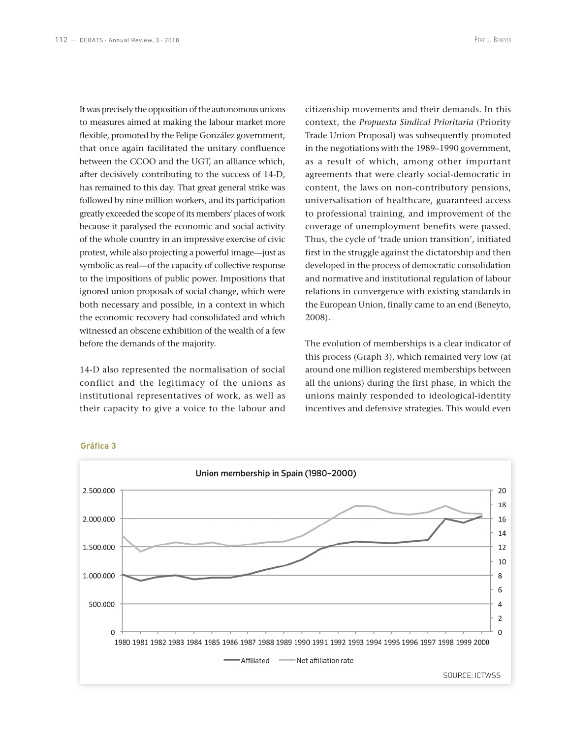It was precisely the opposition of the autonomous unions to measures aimed at making the labour market more flexible, promoted by the Felipe González government, that once again facilitated the unitary confluence between the CCOO and the UGT, an alliance which, after decisively contributing to the success of 14-D, has remained to this day. That great general strike was followed by nine million workers, and its participation greatly exceeded the scope of its members' places of work because it paralysed the economic and social activity of the whole country in an impressive exercise of civic protest, while also projecting a powerful image—just as symbolic as real—of the capacity of collective response to the impositions of public power. Impositions that ignored union proposals of social change, which were both necessary and possible, in a context in which the economic recovery had consolidated and which witnessed an obscene exhibition of the wealth of a few before the demands of the majority.

14-D also represented the normalisation of social conflict and the legitimacy of the unions as institutional representatives of work, as well as their capacity to give a voice to the labour and citizenship movements and their demands. In this context, the *Propuesta Sindical Prioritaria* (Priority Trade Union Proposal) was subsequently promoted in the negotiations with the 1989–1990 government, as a result of which, among other important agreements that were clearly social-democratic in content, the laws on non-contributory pensions, universalisation of healthcare, guaranteed access to professional training, and improvement of the coverage of unemployment benefits were passed. Thus, the cycle of 'trade union transition', initiated first in the struggle against the dictatorship and then developed in the process of democratic consolidation and normative and institutional regulation of labour relations in convergence with existing standards in the European Union, finally came to an end (Beneyto, 2008).

The evolution of memberships is a clear indicator of this process (Graph 3), which remained very low (at around one million registered memberships between all the unions) during the first phase, in which the unions mainly responded to ideological-identity incentives and defensive strategies. This would even

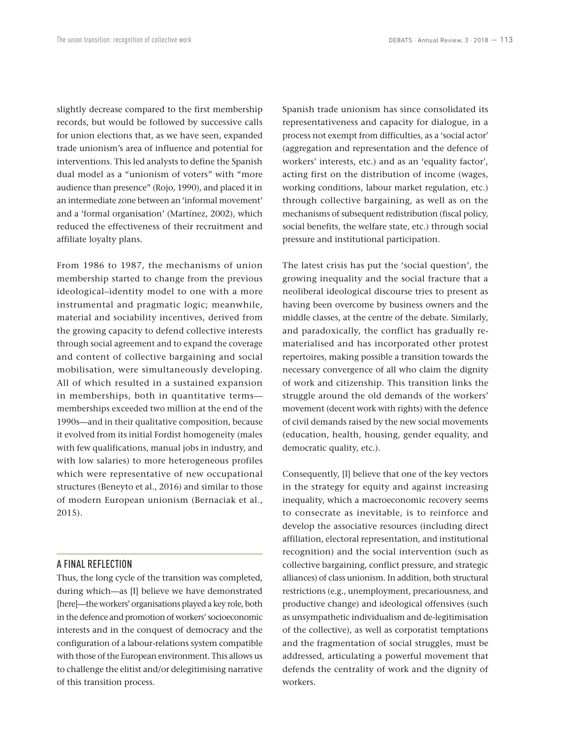slightly decrease compared to the first membership records, but would be followed by successive calls for union elections that, as we have seen, expanded trade unionism's area of influence and potential for interventions. This led analysts to define the Spanish dual model as a "unionism of voters" with "more audience than presence" (Rojo, 1990), and placed it in an intermediate zone between an 'informal movement' and a 'formal organisation' (Martínez, 2002), which reduced the effectiveness of their recruitment and affiliate loyalty plans.

From 1986 to 1987, the mechanisms of union membership started to change from the previous ideological–identity model to one with a more instrumental and pragmatic logic; meanwhile, material and sociability incentives, derived from the growing capacity to defend collective interests through social agreement and to expand the coverage and content of collective bargaining and social mobilisation, were simultaneously developing. All of which resulted in a sustained expansion in memberships, both in quantitative terms memberships exceeded two million at the end of the 1990s—and in their qualitative composition, because it evolved from its initial Fordist homogeneity (males with few qualifications, manual jobs in industry, and with low salaries) to more heterogeneous profiles which were representative of new occupational structures (Beneyto et al., 2016) and similar to those of modern European unionism (Bernaciak et al., 2015).

### A FINAL REFLECTION

Thus, the long cycle of the transition was completed, during which—as [I] believe we have demonstrated [here]—the workers' organisations played a key role, both in the defence and promotion of workers' socioeconomic interests and in the conquest of democracy and the configuration of a labour-relations system compatible with those of the European environment. This allows us to challenge the elitist and/or delegitimising narrative of this transition process.

Spanish trade unionism has since consolidated its representativeness and capacity for dialogue, in a process not exempt from difficulties, as a 'social actor' (aggregation and representation and the defence of workers' interests, etc.) and as an 'equality factor', acting first on the distribution of income (wages, working conditions, labour market regulation, etc.) through collective bargaining, as well as on the mechanisms of subsequent redistribution (fiscal policy, social benefits, the welfare state, etc.) through social pressure and institutional participation.

The latest crisis has put the 'social question', the growing inequality and the social fracture that a neoliberal ideological discourse tries to present as having been overcome by business owners and the middle classes, at the centre of the debate. Similarly, and paradoxically, the conflict has gradually rematerialised and has incorporated other protest repertoires, making possible a transition towards the necessary convergence of all who claim the dignity of work and citizenship. This transition links the struggle around the old demands of the workers' movement (decent work with rights) with the defence of civil demands raised by the new social movements (education, health, housing, gender equality, and democratic quality, etc.).

Consequently, [I] believe that one of the key vectors in the strategy for equity and against increasing inequality, which a macroeconomic recovery seems to consecrate as inevitable, is to reinforce and develop the associative resources (including direct affiliation, electoral representation, and institutional recognition) and the social intervention (such as collective bargaining, conflict pressure, and strategic alliances) of class unionism. In addition, both structural restrictions (e.g., unemployment, precariousness, and productive change) and ideological offensives (such as unsympathetic individualism and de-legitimisation of the collective), as well as corporatist temptations and the fragmentation of social struggles, must be addressed, articulating a powerful movement that defends the centrality of work and the dignity of workers.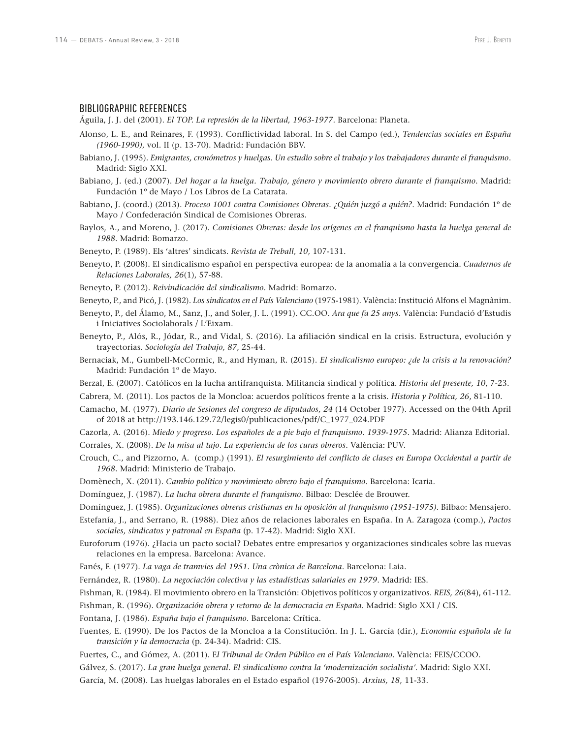#### BIBLIOGRAPHIC REFERENCES

Águila, J. J. del (2001). *El TOP. La represión de la libertad, 1963-1977*. Barcelona: Planeta.

- Alonso, L. E., and Reinares, F. (1993). Conflictividad laboral. In S. del Campo (ed.), *Tendencias sociales en España (1960-1990)*, vol. II (p. 13-70). Madrid: Fundación BBV.
- Babiano, J. (1995). *Emigrantes, cronómetros y huelgas. Un estudio sobre el trabajo y los trabajadores durante el franquismo*. Madrid: Siglo XXI.
- Babiano, J. (ed.) (2007). *Del hogar a la huelga. Trabajo, género y movimiento obrero durante el franquismo*. Madrid: Fundación 1º de Mayo / Los Libros de La Catarata.
- Babiano, J. (coord.) (2013). *Proceso 1001 contra Comisiones Obreras. ¿Quién juzgó a quién?*. Madrid: Fundación 1º de Mayo / Confederación Sindical de Comisiones Obreras.
- Baylos, A., and Moreno, J. (2017). *Comisiones Obreras: desde los orígenes en el franquismo hasta la huelga general de 1988*. Madrid: Bomarzo.
- Beneyto, P. (1989). Els 'altres' sindicats. *Revista de Treball, 10*, 107-131.
- Beneyto, P. (2008). El sindicalismo español en perspectiva europea: de la anomalía a la convergencia. *Cuadernos de Relaciones Laborales, 26*(1), 57-88.
- Beneyto, P. (2012). *Reivindicación del sindicalismo*. Madrid: Bomarzo.
- Beneyto, P., and Picó, J. (1982). *Los sindicatos en el País Valenciano* (1975-1981). València: Institució Alfons el Magnànim.
- Beneyto, P., del Álamo, M., Sanz, J., and Soler, J. L. (1991). CC.OO. *Ara que fa 25 anys*. València: Fundació d'Estudis i Iniciatives Sociolaborals / L'Eixam.
- Beneyto, P., Alós, R., Jódar, R., and Vidal, S. (2016). La afiliación sindical en la crisis. Estructura, evolución y trayectorias. *Sociología del Trabajo, 87*, 25-44.
- Bernaciak, M., Gumbell-McCormic, R., and Hyman, R. (2015). *El sindicalismo europeo: ¿de la crisis a la renovación?*  Madrid: Fundación 1º de Mayo.
- Berzal, E. (2007). Católicos en la lucha antifranquista. Militancia sindical y política. *Historia del presente, 10*, 7-23.
- Cabrera, M. (2011). Los pactos de la Moncloa: acuerdos políticos frente a la crisis. *Historia y Política, 26*, 81-110.
- Camacho, M. (1977). *Diario de Sesiones del congreso de diputados, 24* (14 October 1977). Accessed on the 04th April of 2018 at http://193.146.129.72/legis0/publicaciones/pdf/C\_1977\_024.PDF
- Cazorla, A. (2016). *Miedo y progreso. Los españoles de a pie bajo el franquismo. 1939-1975*. Madrid: Alianza Editorial. Corrales, X. (2008). *De la misa al tajo. La experiencia de los curas obreros*. València: PUV.
- Crouch, C., and Pizzorno, A. (comp.) (1991). *El resurgimiento del conflicto de clases en Europa Occidental a partir de 1968*. Madrid: Ministerio de Trabajo.
- Domènech, X. (2011). *Cambio político y movimiento obrero bajo el franquismo*. Barcelona: Icaria.
- Domínguez, J. (1987). *La lucha obrera durante el franquismo*. Bilbao: Desclée de Brouwer.
- Domínguez, J. (1985). *Organizaciones obreras cristianas en la oposición al franquismo (1951-1975)*. Bilbao: Mensajero.
- Estefanía, J., and Serrano, R. (1988). Diez años de relaciones laborales en España. In A. Zaragoza (comp.), *Pactos sociales, sindicatos y patronal en España* (p. 17-42). Madrid: Siglo XXI.
- Euroforum (1976). ¿Hacia un pacto social? Debates entre empresarios y organizaciones sindicales sobre las nuevas relaciones en la empresa. Barcelona: Avance.
- Fanés, F. (1977). *La vaga de tramvies del 1951. Una crònica de Barcelona*. Barcelona: Laia.
- Fernández, R. (1980). *La negociación colectiva y las estadísticas salariales en 1979*. Madrid: IES.
- Fishman, R. (1984). El movimiento obrero en la Transición: Objetivos políticos y organizativos. *REIS, 26*(84), 61-112.
- Fishman, R. (1996). *Organización obrera y retorno de la democracia en España*. Madrid: Siglo XXI / CIS.
- Fontana, J. (1986). *España bajo el franquismo*. Barcelona: Crítica.
- Fuentes, E. (1990). De los Pactos de la Moncloa a la Constitución. In J. L. García (dir.), *Economía española de la transición y la democracia* (p. 24-34). Madrid: CIS.
- Fuertes, C., and Gómez, A. (2011). E*l Tribunal de Orden Público en el País Valenciano*. València: FEIS/CCOO.
- Gálvez, S. (2017). *La gran huelga general. El sindicalismo contra la 'modernización socialista'*. Madrid: Siglo XXI.
- García, M. (2008). Las huelgas laborales en el Estado español (1976-2005). *Arxius, 18*, 11-33.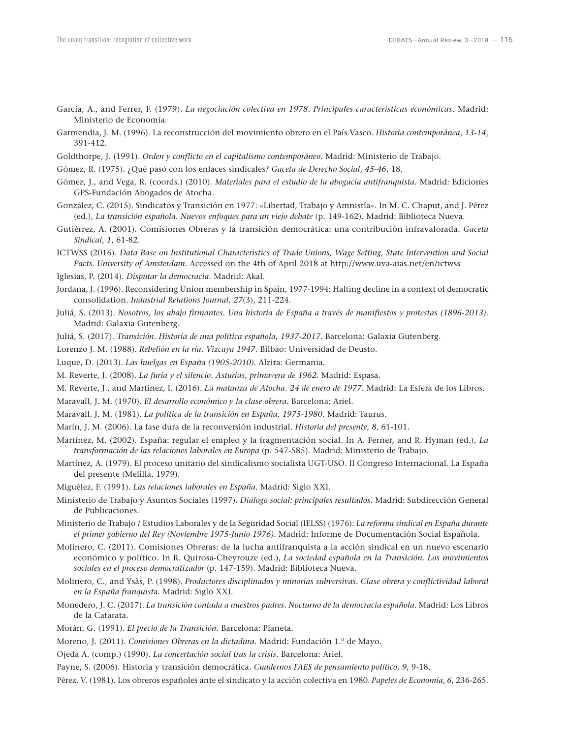- García, A., and Ferrer, F. (1979). *La negociación colectiva en 1978. Principales características económicas*. Madrid: Ministerio de Economía.
- Garmendia, J. M. (1996). La reconstrucción del movimiento obrero en el País Vasco. *Historia contemporánea*, *13-14*, 391-412.
- Goldthorpe, J. (1991). *Orden y conflicto en el capitalismo contemporáneo*. Madrid: Ministerio de Trabajo.
- Gómez, R. (1975). ¿Qué pasó con los enlaces sindicales? *Gaceta de Derecho Social*, *45-46*, 18.
- Gómez, J., and Vega, R. (coords.) (2010). *Materiales para el estudio de la abogacía antifranquista*. Madrid: Ediciones GPS-Fundación Abogados de Atocha.
- González, C. (2015). Sindicatos y Transición en 1977: «Libertad, Trabajo y Amnistía». In M. C. Chaput, and J. Pérez (ed.), *La transición española. Nuevos enfoques para un viejo debate* (p. 149-162). Madrid: Biblioteca Nueva.
- Gutiérrez, A. (2001). Comisiones Obreras y la transición democrática: una contribución infravalorada. *Gaceta Sindical, 1*, 61-82.
- ICTWSS (2016). *Data Base on Institutional Characteristics of Trade Unions, Wage Setting, State Intervention and Social Pacts. University of Amsterdam*. Accessed on the 4th of April 2018 at http://www.uva-aias.net/en/ictwss
- Iglesias, P. (2014). *Disputar la democracia*. Madrid: Akal.
- Jordana, J. (1996). Reconsidering Union membership in Spain, 1977-1994: Halting decline in a context of democratic consolidation. *Industrial Relations Journal, 27*(3), 211-224.
- Juliá, S. (2013). *Nosotros, los abajo firmantes. Una historia de España a través de manifiestos y protestas (1896-2013)*. Madrid: Galaxia Gutenberg.
- Juliá, S. (2017). *Transición. Historia de una política española, 1937-2017*. Barcelona: Galaxia Gutenberg.
- Lorenzo J. M. (1988). *Rebelión en la ría. Vizcaya 1947*. Bilbao: Universidad de Deusto.
- Luque, D. (2013). *Las huelgas en España (1905-2010)*. Alzira: Germania.
- M. Reverte, J. (2008). *La furia y el silencio. Asturias, primavera de 1962*. Madrid: Espasa.
- M. Reverte, J., and Martínez, I. (2016). *La matanza de Atocha. 24 de enero de 1977*. Madrid: La Esfera de los Libros.
- Maravall, J. M. (1970). *El desarrollo económico y la clase obrera.* Barcelona: Ariel.
- Maravall, J. M. (1981). *La política de la transición en España, 1975-1980*. Madrid: Taurus.
- Marín, J. M. (2006). La fase dura de la reconversión industrial. *Historia del presente, 8*, 61-101.
- Martínez, M. (2002). España: regular el empleo y la fragmentación social. In A. Ferner, and R. Hyman (ed.), *La transformación de las relaciones laborales en Europa* (p. 547-585). Madrid: Ministerio de Trabajo.
- Martínez, A. (1979). El proceso unitario del sindicalismo socialista UGT-USO. II Congreso Internacional. La España del presente (Melilla, 1979).
- Miguélez, F. (1991). *Las relaciones laborales en España*. Madrid: Siglo XXI.
- Ministerio de Trabajo y Asuntos Sociales (1997). *Diálogo social: principales resultados.* Madrid: Subdirección General de Publicaciones.
- Ministerio de Trabajo / Estudios Laborales y de la Seguridad Social (IELSS) (1976): *La reforma sindical en España durante el primer gobierno del Rey (Noviembre 1975-Junio 1976)*. Madrid: Informe de Documentación Social Española.
- Molinero, C. (2011). Comisiones Obreras: de la lucha antifranquista a la acción sindical en un nuevo escenario económico y político. In R. Quirosa-Cheyrouze (ed.), *La sociedad española en la Transición. Los movimientos sociales en el proceso democratizador* (p. 147-159). Madrid: Biblioteca Nueva.
- Molinero, C., and Ysàs, P. (1998). *Productores disciplinados y minorías subversivas. Clase obrera y conflictividad laboral en la España franquist*a. Madrid: Siglo XXI.
- Monedero, J. C. (2017). *La transición contada a nuestros padres. Nocturno de la democracia española*. Madrid: Los Libros de la Catarata.
- Morán, G. (1991). *El precio de la Transición*. Barcelona: Planeta.
- Moreno, J. (2011). *Comisiones Obreras en la dictadura*. Madrid: Fundación 1.º de Mayo.
- Ojeda A. (comp.) (1990). *La concertación social tras la crisis*. Barcelona: Ariel.
- Payne, S. (2006). Historia y transición democrática. *Cuadernos FAES de pensamiento político*, *9*, 9-18.
- Pérez, V. (1981). Los obreros españoles ante el sindicato y la acción colectiva en 1980. *Papeles de Economía*, *6*, 236-265.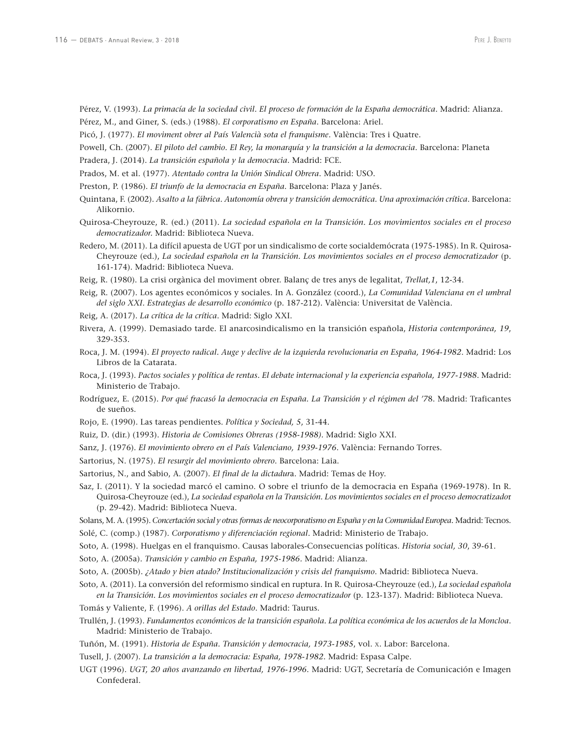- Pérez, V. (1993). *La primacía de la sociedad civil. El proceso de formación de la España democrática*. Madrid: Alianza. Pérez, M., and Giner, S. (eds.) (1988). *El corporatismo en España*. Barcelona: Ariel.
- 
- Picó, J. (1977). *El moviment obrer al País Valencià sota el franquisme*. València: Tres i Quatre.
- Powell, Ch. (2007). *El piloto del cambio. El Rey, la monarquía y la transición a la democracia*. Barcelona: Planeta
- Pradera, J. (2014). *La transición española y la democracia*. Madrid: FCE.
- Prados, M. et al. (1977). *Atentado contra la Unión Sindical Obrera*. Madrid: USO.
- Preston, P. (1986). *El triunfo de la democracia en España*. Barcelona: Plaza y Janés.
- Quintana, F. (2002). *Asalto a la fábrica. Autonomía obrera y transición democrática. Una aproximación crítica*. Barcelona: Alikornio.
- Quirosa-Cheyrouze, R. (ed.) (2011). *La sociedad española en la Transición. Los movimientos sociales en el proceso democratizador.* Madrid: Biblioteca Nueva.
- Redero, M. (2011). La difícil apuesta de UGT por un sindicalismo de corte socialdemócrata (1975-1985). In R. Quirosa-Cheyrouze (ed.), *La sociedad española en la Transición. Los movimientos sociales en el proceso democratizador* (p. 161-174). Madrid: Biblioteca Nueva.
- Reig, R. (1980). La crisi orgànica del moviment obrer. Balanç de tres anys de legalitat, *Trellat,1*, 12-34.
- Reig, R. (2007). Los agentes económicos y sociales. In A. González (coord.), *La Comunidad Valenciana en el umbral del siglo XXI. Estrategias de desarrollo económico* (p. 187-212). València: Universitat de València.
- Reig, A. (2017). *La crítica de la crítica*. Madrid: Siglo XXI.
- Rivera, A. (1999). Demasiado tarde. El anarcosindicalismo en la transición española, *Historia contemporánea, 19*, 329-353.
- Roca, J. M. (1994). *El proyecto radical. Auge y declive de la izquierda revolucionaria en España, 1964-1982*. Madrid: Los Libros de la Catarata.
- Roca, J. (1993). *Pactos sociales y política de rentas. El debate internacional y la experiencia española, 1977-1988*. Madrid: Ministerio de Trabajo.
- Rodríguez, E. (2015). *Por qué fracasó la democracia en España. La Transición y el régimen del '7*8. Madrid: Traficantes de sueños.
- Rojo, E. (1990). Las tareas pendientes. *Política y Sociedad, 5*, 31-44.
- Ruiz, D. (dir.) (1993). *Historia de Comisiones Obreras (1958-1988).* Madrid: Siglo XXI.
- Sanz, J. (1976). *El movimiento obrero en el País Valenciano, 1939-1976*. València: Fernando Torres.
- Sartorius, N. (1975). *El resurgir del movimiento obrero*. Barcelona: Laia.
- Sartorius, N., and Sabio, A. (2007). *El final de la dictadur*a. Madrid: Temas de Hoy.
- Saz, I. (2011). Y la sociedad marcó el camino. O sobre el triunfo de la democracia en España (1969-1978). In R. Quirosa-Cheyrouze (ed.), *La sociedad española en la Transición. Los movimientos sociales en el proceso democratizado*r (p. 29-42). Madrid: Biblioteca Nueva.
- Solans, M. A. (1995). *Concertación social y otras formas de neocorporatismo en España y en la Comunidad Europea.* Madrid: Tecnos.
- Solé, C. (comp.) (1987). *Corporatismo y diferenciación regional*. Madrid: Ministerio de Trabajo.
- Soto, A. (1998). Huelgas en el franquismo. Causas laborales-Consecuencias políticas. *Historia social, 30*, 39-61.
- Soto, A. (2005a). *Transición y cambio en España, 1975-1986.* Madrid: Alianza.
- Soto, A. (2005b). *¿Atado y bien atado? Institucionalización y crisis del franquismo*. Madrid: Biblioteca Nueva.
- Soto, A. (2011). La conversión del reformismo sindical en ruptura. In R. Quirosa-Cheyrouze (ed.), *La sociedad española en la Transición. Los movimientos sociales en el proceso democratizador* (p. 123-137). Madrid: Biblioteca Nueva.
- Tomás y Valiente, F. (1996). *A orillas del Estado*. Madrid: Taurus.
- Trullén, J. (1993). *Fundamentos económicos de la transición española. La política económica de los acuerdos de la Moncloa*. Madrid: Ministerio de Trabajo.
- Tuñón, M. (1991). *Historia de España. Transición y democracia, 1973-1985*, vol. x. Labor: Barcelona.
- Tusell, J. (2007). *La transición a la democracia: España, 1978-1982*. Madrid: Espasa Calpe.
- UGT (1996). *UGT, 20 años avanzando en libertad, 1976-1996*. Madrid: UGT, Secretaría de Comunicación e Imagen Confederal.